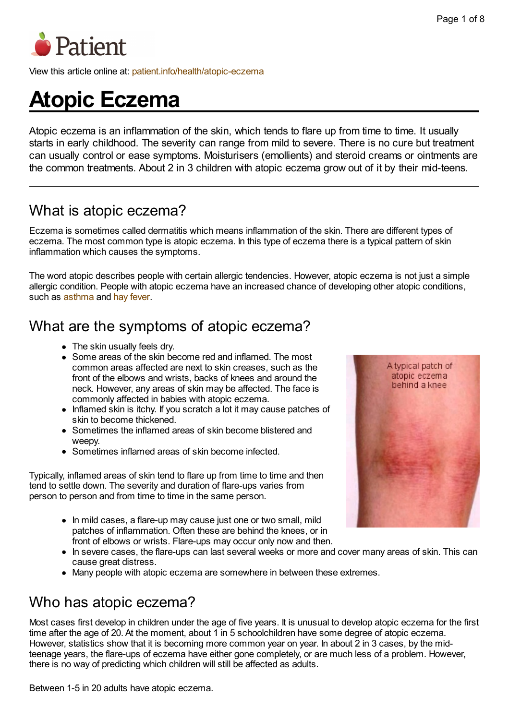

View this article online at: [patient.info/health/atopic-eczema](http://patient.info/health/atopic-eczema)

# **Atopic Eczema**

Atopic eczema is an inflammation of the skin, which tends to flare up from time to time. It usually starts in early childhood. The severity can range from mild to severe. There is no cure but treatment can usually control or ease symptoms. Moisturisers (emollients) and steroid creams or ointments are the common treatments. About 2 in 3 children with atopic eczema grow out of it by their mid-teens.

# What is atopic eczema?

Eczema is sometimes called dermatitis which means inflammation of the skin. There are different types of eczema. The most common type is atopic eczema. In this type of eczema there is a typical pattern of skin inflammation which causes the symptoms.

The word atopic describes people with certain allergic tendencies. However, atopic eczema is not just a simple allergic condition. People with atopic eczema have an increased chance of developing other atopic conditions, such as [asthma](http://patient.info/health/asthma-leaflet) and hay [fever](http://patient.info/health/hay-fever-leaflet).

### What are the symptoms of atopic eczema?

- The skin usually feels dry.
- Some areas of the skin become red and inflamed. The most common areas affected are next to skin creases, such as the front of the elbows and wrists, backs of knees and around the neck. However, any areas of skin may be affected. The face is commonly affected in babies with atopic eczema.
- Inflamed skin is itchy. If you scratch a lot it may cause patches of skin to become thickened.
- Sometimes the inflamed areas of skin become blistered and weepy.
- Sometimes inflamed areas of skin become infected.

Typically, inflamed areas of skin tend to flare up from time to time and then tend to settle down. The severity and duration of flare-ups varies from person to person and from time to time in the same person.

- In mild cases, a flare-up may cause just one or two small, mild patches of inflammation. Often these are behind the knees, or in front of elbows or wrists. Flare-ups may occur only now and then.
- In severe cases, the flare-ups can last several weeks or more and cover many areas of skin. This can cause great distress.
- Many people with atopic eczema are somewhere in between these extremes.

### Who has atopic eczema?

Most cases first develop in children under the age of five years. It is unusual to develop atopic eczema for the first time after the age of 20. At the moment, about 1 in 5 schoolchildren have some degree of atopic eczema. However, statistics show that it is becoming more common year on year. In about 2 in 3 cases, by the midteenage years, the flare-ups of eczema have either gone completely, or are much less of a problem. However, there is no way of predicting which children will still be affected as adults.

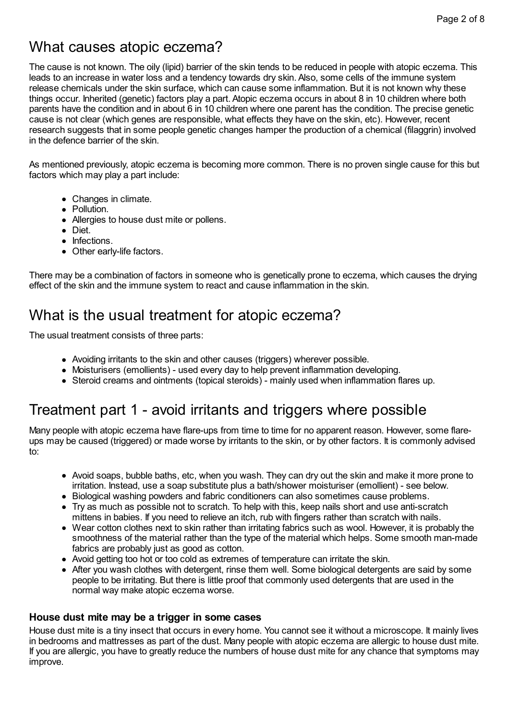# What causes atopic eczema?

The cause is not known. The oily (lipid) barrier of the skin tends to be reduced in people with atopic eczema. This leads to an increase in water loss and a tendency towards dry skin. Also, some cells of the immune system release chemicals under the skin surface, which can cause some inflammation. But it is not known why these things occur. Inherited (genetic) factors play a part. Atopic eczema occurs in about 8 in 10 children where both parents have the condition and in about 6 in 10 children where one parent has the condition. The precise genetic cause is not clear (which genes are responsible, what effects they have on the skin, etc). However, recent research suggests that in some people genetic changes hamper the production of a chemical (filaggrin) involved in the defence barrier of the skin.

As mentioned previously, atopic eczema is becoming more common. There is no proven single cause for this but factors which may play a part include:

- Changes in climate.
- Pollution.
- Allergies to house dust mite or pollens.
- Diet.
- Infections.
- Other early-life factors.

There may be a combination of factors in someone who is genetically prone to eczema, which causes the drying effect of the skin and the immune system to react and cause inflammation in the skin.

### What is the usual treatment for atopic eczema?

The usual treatment consists of three parts:

- Avoiding irritants to the skin and other causes (triggers) wherever possible.
- Moisturisers (emollients) used every day to help prevent inflammation developing.
- Steroid creams and ointments (topical steroids) mainly used when inflammation flares up.

### Treatment part 1 - avoid irritants and triggers where possible

Many people with atopic eczema have flare-ups from time to time for no apparent reason. However, some flareups may be caused (triggered) or made worse by irritants to the skin, or by other factors. It is commonly advised to:

- Avoid soaps, bubble baths, etc, when you wash. They can dry out the skin and make it more prone to irritation. Instead, use a soap substitute plus a bath/shower moisturiser (emollient) - see below.
- Biological washing powders and fabric conditioners can also sometimes cause problems.
- Try as much as possible not to scratch. To help with this, keep nails short and use anti-scratch mittens in babies. If you need to relieve an itch, rub with fingers rather than scratch with nails.
- Wear cotton clothes next to skin rather than irritating fabrics such as wool. However, it is probably the smoothness of the material rather than the type of the material which helps. Some smooth man-made fabrics are probably just as good as cotton.
- Avoid getting too hot or too cold as extremes of temperature can irritate the skin.
- After you wash clothes with detergent, rinse them well. Some biological detergents are said by some people to be irritating. But there is little proof that commonly used detergents that are used in the normal way make atopic eczema worse.

#### **House dust mite may be a trigger in some cases**

House dust mite is a tiny insect that occurs in every home. You cannot see it without a microscope. It mainly lives in bedrooms and mattresses as part of the dust. Many people with atopic eczema are allergic to house dust mite. If you are allergic, you have to greatly reduce the numbers of house dust mite for any chance that symptoms may improve.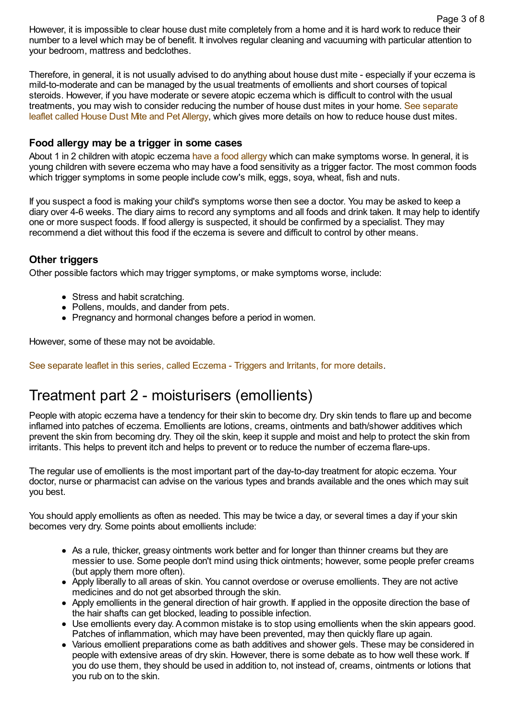However, it is impossible to clear house dust mite completely from a home and it is hard work to reduce their number to a level which may be of benefit. It involves regular cleaning and vacuuming with particular attention to your bedroom, mattress and bedclothes. Page 3 of 8

Therefore, in general, it is not usually advised to do anything about house dust mite - especially if your eczema is mild-to-moderate and can be managed by the usual treatments of emollients and short courses of topical steroids. However, if you have moderate or severe atopic eczema which is difficult to control with the usual [treatments,](http://patient.info/health/house-dust-mite-and-pet-allergy) you may wish to consider reducing the number of house dust mites in your home. See separate leaflet called House Dust Mite and Pet Allergy, which gives more details on how to reduce house dust mites.

#### **Food allergy may be a trigger in some cases**

About 1 in 2 children with atopic eczema have a food [allergy](http://patient.info/health/food-allergy-and-intolerance) which can make symptoms worse. In general, it is young children with severe eczema who may have a food sensitivity as a trigger factor. The most common foods which trigger symptoms in some people include cow's milk, eggs, soya, wheat, fish and nuts.

If you suspect a food is making your child's symptoms worse then see a doctor. You may be asked to keep a diary over 4-6 weeks. The diary aims to record any symptoms and all foods and drink taken. It may help to identify one or more suspect foods. If food allergy is suspected, it should be confirmed by a specialist. They may recommend a diet without this food if the eczema is severe and difficult to control by other means.

#### **Other triggers**

Other possible factors which may trigger symptoms, or make symptoms worse, include:

- Stress and habit scratching.
- Pollens, moulds, and dander from pets.
- Pregnancy and hormonal changes before a period in women.

However, some of these may not be avoidable.

See [separate](http://patient.info/health/eczema-triggers-and-irritants) leaflet in this series, called Eczema - Triggers and Irritants, for more details.

### Treatment part 2 - moisturisers (emollients)

People with atopic eczema have a tendency for their skin to become dry. Dry skin tends to flare up and become inflamed into patches of eczema. Emollients are lotions, creams, ointments and bath/shower additives which prevent the skin from becoming dry. They oil the skin, keep it supple and moist and help to protect the skin from irritants. This helps to prevent itch and helps to prevent or to reduce the number of eczema flare-ups.

The regular use of emollients is the most important part of the day-to-day treatment for atopic eczema. Your doctor, nurse or pharmacist can advise on the various types and brands available and the ones which may suit you best.

You should apply emollients as often as needed. This may be twice a day, or several times a day if your skin becomes very dry. Some points about emollients include:

- As a rule, thicker, greasy ointments work better and for longer than thinner creams but they are messier to use. Some people don't mind using thick ointments; however, some people prefer creams (but apply them more often).
- Apply liberally to all areas of skin. You cannot overdose or overuse emollients. They are not active medicines and do not get absorbed through the skin.
- Apply emollients in the general direction of hair growth. If applied in the opposite direction the base of the hair shafts can get blocked, leading to possible infection.
- Use emollients every day. Acommon mistake is to stop using emollients when the skin appears good. Patches of inflammation, which may have been prevented, may then quickly flare up again.
- Various emollient preparations come as bath additives and shower gels. These may be considered in people with extensive areas of dry skin. However, there is some debate as to how well these work. If you do use them, they should be used in addition to, not instead of, creams, ointments or lotions that you rub on to the skin.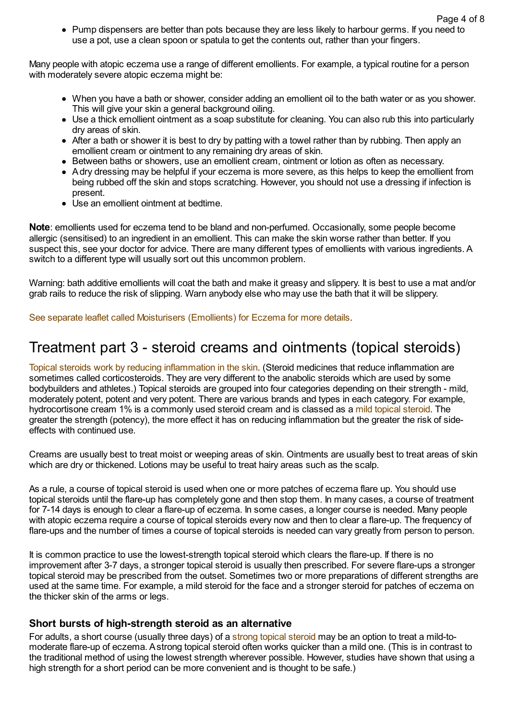• Pump dispensers are better than pots because they are less likely to harbour germs. If you need to use a pot, use a clean spoon or spatula to get the contents out, rather than your fingers.

Many people with atopic eczema use a range of different emollients. For example, a typical routine for a person with moderately severe atopic eczema might be:

- When you have a bath or shower, consider adding an emollient oil to the bath water or as you shower. This will give your skin a general background oiling.
- Use a thick emollient ointment as a soap substitute for cleaning. You can also rub this into particularly dry areas of skin.
- After a bath or shower it is best to dry by patting with a towel rather than by rubbing. Then apply an emollient cream or ointment to any remaining dry areas of skin.
- Between baths or showers, use an emollient cream, ointment or lotion as often as necessary.
- Adry dressing may be helpful if your eczema is more severe, as this helps to keep the emollient from being rubbed off the skin and stops scratching. However, you should not use a dressing if infection is present.
- Use an emollient ointment at bedtime.

**Note**: emollients used for eczema tend to be bland and non-perfumed. Occasionally, some people become allergic (sensitised) to an ingredient in an emollient. This can make the skin worse rather than better. If you suspect this, see your doctor for advice. There are many different types of emollients with various ingredients. A switch to a different type will usually sort out this uncommon problem.

Warning: bath additive emollients will coat the bath and make it greasy and slippery. It is best to use a mat and/or grab rails to reduce the risk of slipping. Warn anybody else who may use the bath that it will be slippery.

See separate leaflet called [Moisturisers](http://patient.info/health/moisturisers-emollients-for-eczema) (Emollients) for Eczema for more details.

### Treatment part 3 - steroid creams and ointments (topical steroids)

Topical steroids work by reducing [inflammation](http://patient.info/health/topical-steroids-excluding-inhaled-steroids) in the skin. (Steroid medicines that reduce inflammation are sometimes called corticosteroids. They are very different to the anabolic steroids which are used by some bodybuilders and athletes.) Topical steroids are grouped into four categories depending on their strength - mild, moderately potent, potent and very potent. There are various brands and types in each category. For example, hydrocortisone cream 1% is a commonly used steroid cream and is classed as a mild topical [steroid.](http://patient.info/medicine/hydrocortisone-for-mild-inflammatory-skin-conditions) The greater the strength (potency), the more effect it has on reducing inflammation but the greater the risk of sideeffects with continued use.

Creams are usually best to treat moist or weeping areas of skin. Ointments are usually best to treat areas of skin which are dry or thickened. Lotions may be useful to treat hairy areas such as the scalp.

As a rule, a course of topical steroid is used when one or more patches of eczema flare up. You should use topical steroids until the flare-up has completely gone and then stop them. In many cases, a course of treatment for 7-14 days is enough to clear a flare-up of eczema. In some cases, a longer course is needed. Many people with atopic eczema require a course of topical steroids every now and then to clear a flare-up. The frequency of flare-ups and the number of times a course of topical steroids is needed can vary greatly from person to person.

It is common practice to use the lowest-strength topical steroid which clears the flare-up. If there is no improvement after 3-7 days, a stronger topical steroid is usually then prescribed. For severe flare-ups a stronger topical steroid may be prescribed from the outset. Sometimes two or more preparations of different strengths are used at the same time. For example, a mild steroid for the face and a stronger steroid for patches of eczema on the thicker skin of the arms or legs.

#### **Short bursts of high-strength steroid as an alternative**

For adults, a short course (usually three days) of a strong topical [steroid](http://patient.info/medicine/mometasone-for-severe-inflammatory-skin-conditions-elocon) may be an option to treat a mild-tomoderate flare-up of eczema. Astrong topical steroid often works quicker than a mild one. (This is in contrast to the traditional method of using the lowest strength wherever possible. However, studies have shown that using a high strength for a short period can be more convenient and is thought to be safe.)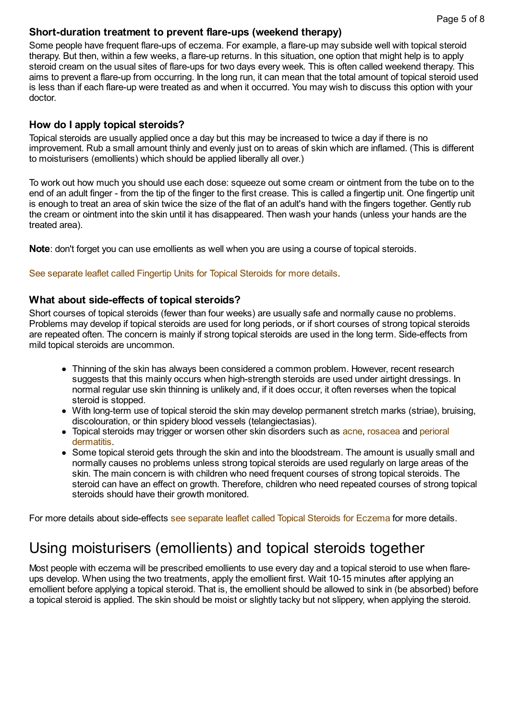#### **Short-duration treatment to prevent flare-ups (weekend therapy)**

Some people have frequent flare-ups of eczema. For example, a flare-up may subside well with topical steroid therapy. But then, within a few weeks, a flare-up returns. In this situation, one option that might help is to apply steroid cream on the usual sites of flare-ups for two days every week. This is often called weekend therapy. This aims to prevent a flare-up from occurring. In the long run, it can mean that the total amount of topical steroid used is less than if each flare-up were treated as and when it occurred. You may wish to discuss this option with your doctor.

#### **How do I apply topical steroids?**

Topical steroids are usually applied once a day but this may be increased to twice a day if there is no improvement. Rub a small amount thinly and evenly just on to areas of skin which are inflamed. (This is different to moisturisers (emollients) which should be applied liberally all over.)

To work out how much you should use each dose: squeeze out some cream or ointment from the tube on to the end of an adult finger - from the tip of the finger to the first crease. This is called a fingertip unit. One fingertip unit is enough to treat an area of skin twice the size of the flat of an adult's hand with the fingers together. Gently rub the cream or ointment into the skin until it has disappeared. Then wash your hands (unless your hands are the treated area).

**Note**: don't forget you can use emollients as well when you are using a course of topical steroids.

See [separate](http://patient.info/health/fingertip-units-for-topical-steroids) leaflet called Fingertip Units for Topical Steroids for more details.

#### **What about side-effects of topical steroids?**

Short courses of topical steroids (fewer than four weeks) are usually safe and normally cause no problems. Problems may develop if topical steroids are used for long periods, or if short courses of strong topical steroids are repeated often. The concern is mainly if strong topical steroids are used in the long term. Side-effects from mild topical steroids are uncommon.

- Thinning of the skin has always been considered a common problem. However, recent research suggests that this mainly occurs when high-strength steroids are used under airtight dressings. In normal regular use skin thinning is unlikely and, if it does occur, it often reverses when the topical steroid is stopped.
- With long-term use of topical steroid the skin may develop permanent stretch marks (striae), bruising, discolouration, or thin spidery blood vessels (telangiectasias).
- Topical steroids may trigger or worsen other skin [disorders](http://patient.info/health/perioral-dermatitis-leaflet) such as [acne,](http://patient.info/health/acne-leaflet) [rosacea](http://patient.info/health/rosacea-leaflet) and perioral dermatitis.
- Some topical steroid gets through the skin and into the bloodstream. The amount is usually small and normally causes no problems unless strong topical steroids are used regularly on large areas of the skin. The main concern is with children who need frequent courses of strong topical steroids. The steroid can have an effect on growth. Therefore, children who need repeated courses of strong topical steroids should have their growth monitored.

For more details about side-effects see [separate](http://patient.info/health/topical-steroids-for-eczema) leaflet called Topical Steroids for Eczema for more details.

### Using moisturisers (emollients) and topical steroids together

Most people with eczema will be prescribed emollients to use every day and a topical steroid to use when flareups develop. When using the two treatments, apply the emollient first. Wait 10-15 minutes after applying an emollient before applying a topical steroid. That is, the emollient should be allowed to sink in (be absorbed) before a topical steroid is applied. The skin should be moist or slightly tacky but not slippery, when applying the steroid.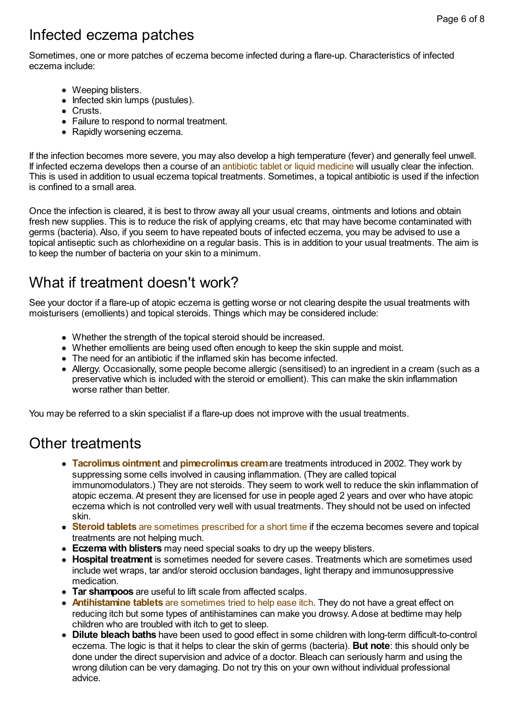# Infected eczema patches

Sometimes, one or more patches of eczema become infected during a flare-up. Characteristics of infected eczema include:

- Weeping blisters.
- $\bullet$  Infected skin lumps (pustules).
- Crusts.
- Failure to respond to normal treatment.
- Rapidly worsening eczema.

If the infection becomes more severe, you may also develop a high temperature (fever) and generally feel unwell. If infected eczema develops then a course of an antibiotic tablet or liquid [medicine](http://patient.info/health/antibiotics-leaflet) will usually clear the infection. This is used in addition to usual eczema topical treatments. Sometimes, a topical antibiotic is used if the infection is confined to a small area.

Once the infection is cleared, it is best to throw away all your usual creams, ointments and lotions and obtain fresh new supplies. This is to reduce the risk of applying creams, etc that may have become contaminated with germs (bacteria). Also, if you seem to have repeated bouts of infected eczema, you may be advised to use a topical antiseptic such as chlorhexidine on a regular basis. This is in addition to your usual treatments. The aim is to keep the number of bacteria on your skin to a minimum.

# What if treatment doesn't work?

See your doctor if a flare-up of atopic eczema is getting worse or not clearing despite the usual treatments with moisturisers (emollients) and topical steroids. Things which may be considered include:

- Whether the strength of the topical steroid should be increased.
- Whether emollients are being used often enough to keep the skin supple and moist.
- The need for an antibiotic if the inflamed skin has become infected.
- Allergy. Occasionally, some people become allergic (sensitised) to an ingredient in a cream (such as a preservative which is included with the steroid or emollient). This can make the skin inflammation worse rather than better

You may be referred to a skin specialist if a flare-up does not improve with the usual treatments.

### Other treatments

- **[Tacrolimus](http://patient.info/medicine/tacrolimus-ointment-protopic) ointment** and **[pimecrolimus](http://patient.info/medicine/pimecrolimus-cream-elidel) cream**are treatments introduced in 2002. They work by suppressing some cells involved in causing inflammation. (They are called topical immunomodulators.) They are not steroids. They seem to work well to reduce the skin inflammation of atopic eczema. At present they are licensed for use in people aged 2 years and over who have atopic eczema which is not controlled very well with usual treatments. They should not be used on infected skin.
- **Steroid tablets** are [sometimes](http://patient.info/health/oral-steroids) prescribed for a short time if the eczema becomes severe and topical treatments are not helping much.
- **Eczemawith blisters** may need special soaks to dry up the weepy blisters.
- **Hospital treatment** is sometimes needed for severe cases. Treatments which are sometimes used include wet wraps, tar and/or steroid occlusion bandages, light therapy and immunosuppressive medication.
- **Tar shampoos** are useful to lift scale from affected scalps.
- **[Antihistamine](http://patient.info/health/antihistamines-leaflet) tablets** are sometimes tried to help ease itch. They do not have a great effect on reducing itch but some types of antihistamines can make you drowsy. Adose at bedtime may help children who are troubled with itch to get to sleep.
- **Dilute bleach baths** have been used to good effect in some children with long-term difficult-to-control eczema. The logic is that it helps to clear the skin of germs (bacteria). **But note**: this should only be done under the direct supervision and advice of a doctor. Bleach can seriously harm and using the wrong dilution can be very damaging. Do not try this on your own without individual professional advice.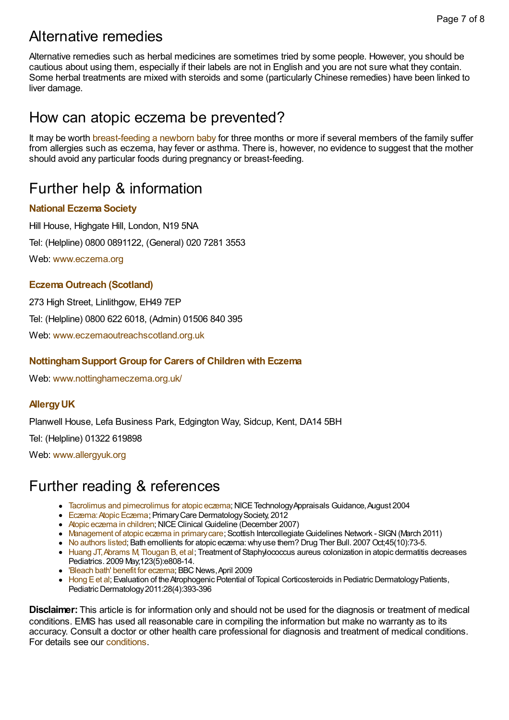# Alternative remedies

Alternative remedies such as herbal medicines are sometimes tried by some people. However, you should be cautious about using them, especially if their labels are not in English and you are not sure what they contain. Some herbal treatments are mixed with steroids and some (particularly Chinese remedies) have been linked to liver damage.

### How can atopic eczema be prevented?

It may be worth [breast-feeding](http://patient.info/health/breast-feeding) a newborn baby for three months or more if several members of the family suffer from allergies such as eczema, hay fever or asthma. There is, however, no evidence to suggest that the mother should avoid any particular foods during pregnancy or breast-feeding.

# Further help & information

#### **[National](http://patient.info/support/national-eczema-society) Eczema Society**

Hill House, Highgate Hill, London, N19 5NA Tel: (Helpline) 0800 0891122, (General) 020 7281 3553

Web: [www.eczema.org](http://www.eczema.org)

#### **[EczemaOutreach](http://patient.info/support/eczema-outreach-scotland) (Scotland)**

273 High Street, Linlithgow, EH49 7EP Tel: (Helpline) 0800 622 6018, (Admin) 01506 840 395 Web: [www.eczemaoutreachscotland.org.uk](http://www.eczemaoutreachscotland.org.uk)

#### **[NottinghamSupport](http://patient.info/support/nottingham-support-group-for-carers-of-children-with-eczema) Group for Carers of Children with Eczema**

Web: [www.nottinghameczema.org.uk/](http://www.nottinghameczema.org.uk/)

#### **[AllergyUK](http://patient.info/support/allergy-uk)**

Planwell House, Lefa Business Park, Edgington Way, Sidcup, Kent, DA14 5BH

Tel: (Helpline) 01322 619898

Web: [www.allergyuk.org](http://www.allergyuk.org)

### Further reading & references

- Tacrolimus and [pimecrolimus](http://www.nice.org.uk/guidance/ta82/chapter/1-guidance) for atopic eczema; NICE Technology Appraisals Guidance, August 2004
- Eczema: Atopic Eczema; Primary Care Dermatology Society, 2012
- Atopic eczema in [children](http://www.nice.org.uk/guidance/CG57/chapter/introduction); NICE Clinical Guideline (December 2007)
- [Management](http://www.sign.ac.uk/pdf/sign125.pdf) of atopic eczema in primary care; Scottish Intercollegiate Guidelines Network SIGN (March 2011)
- No [authors](http://www.ncbi.nlm.nih.gov/entrez/query.fcgi?cmd=Retrieve&db=PubMed&dopt=Abstract&list_uids=17928284) listed; Bath emollients for atopic eczema: why use them? Drug Ther Bull. 2007 Oct;45(10):73-5.
- Huang JT, Abrams M, Tlougan B, et al; Treatment of Staphylococcus aureus colonization in atopic dermatitis decreases Pediatrics. 2009 May;123(5):e808-14.
- 'Bleach bath' benefit for [eczema;](http://news.bbc.co.uk/1/hi/health/8015995.stm) BBC News, April 2009
- [Hong](http://onlinelibrary.wiley.com/doi/10.1111/j.1525-1470.2011.01445.x/abstract) E et al; Evaluation of the Atrophogenic Potential of Topical Corticosteroids in Pediatric Dermatology Patients, Pediatric Dermatology 2011:28(4):393-396

**Disclaimer:** This article is for information only and should not be used for the diagnosis or treatment of medical conditions. EMIS has used all reasonable care in compiling the information but make no warranty as to its accuracy. Consult a doctor or other health care professional for diagnosis and treatment of medical conditions. For details see our [conditions.](http://patient.info/disclaimer.asp)